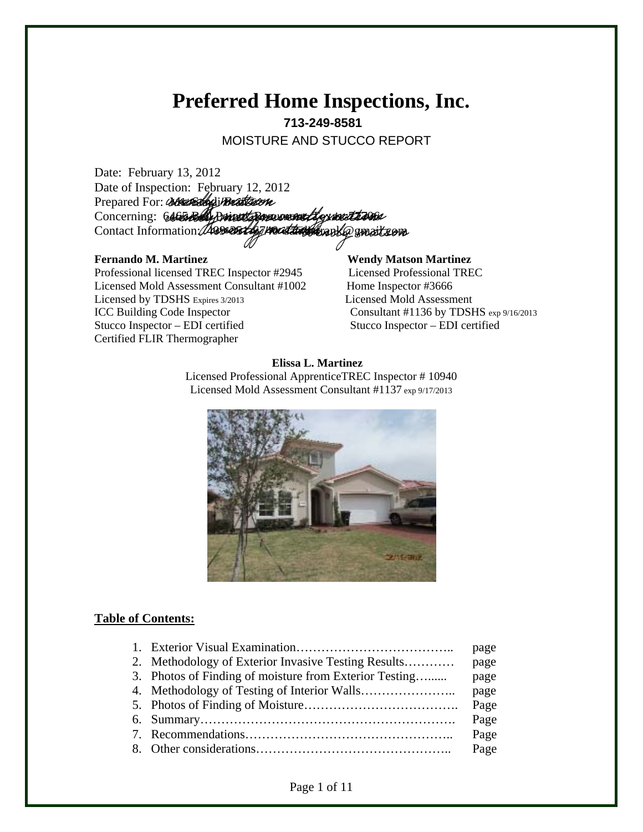## **Preferred Home Inspections, Inc. 713-249-8581**

MOISTURE AND STUCCO REPORT

Date: February 13, 2012 Date of Inspection: February 12, 2012 Prepared For: Conservation Concerning: 6465 Belly Drivest Bergermand Legenment Langua Contact Information: 409-354674004 the sand crabbe gmail com

Professional licensed TREC Inspector #2945 Licensed Professional TREC Licensed Mold Assessment Consultant #1002 Home Inspector #3666 Licensed by TDSHS Expires 3/2013 Licensed Mold Assessment ICC Building Code Inspector Consultant #1136 by TDSHS exp 9/16/2013 Stucco Inspector – EDI certified Stucco Inspector – EDI certified Certified FLIR Thermographer

# Fernando M. Martinez **Wendy Matson Martinez**

#### **Elissa L. Martinez**

Licensed Professional ApprenticeTREC Inspector # 10940 Licensed Mold Assessment Consultant #1137 exp 9/17/2013



#### **Table of Contents:**

|                                                        | page |
|--------------------------------------------------------|------|
| 2. Methodology of Exterior Invasive Testing Results    | page |
| 3. Photos of Finding of moisture from Exterior Testing | page |
|                                                        | page |
|                                                        | Page |
|                                                        | Page |
|                                                        | Page |
|                                                        |      |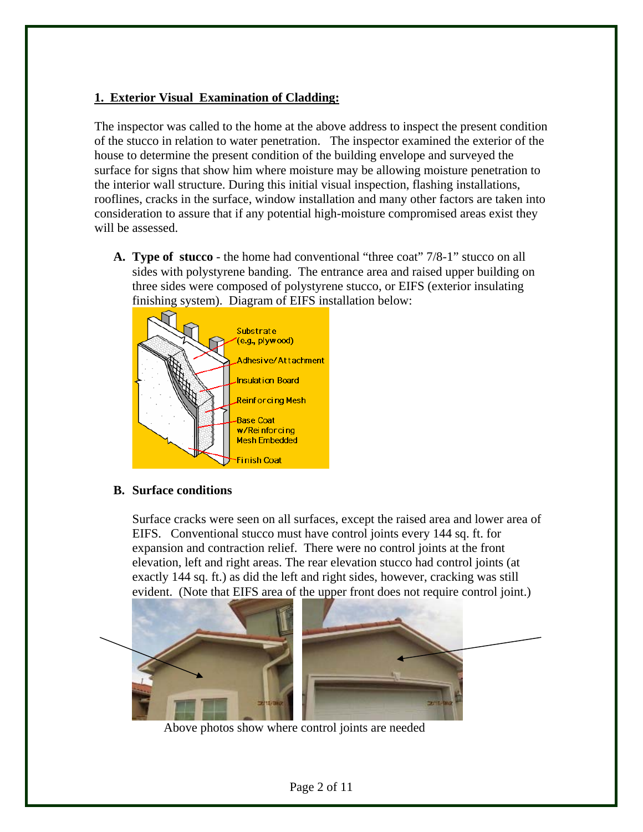#### **1. Exterior Visual Examination of Cladding:**

The inspector was called to the home at the above address to inspect the present condition of the stucco in relation to water penetration. The inspector examined the exterior of the house to determine the present condition of the building envelope and surveyed the surface for signs that show him where moisture may be allowing moisture penetration to the interior wall structure. During this initial visual inspection, flashing installations, rooflines, cracks in the surface, window installation and many other factors are taken into consideration to assure that if any potential high-moisture compromised areas exist they will be assessed.

**A. Type of stucco** - the home had conventional "three coat" 7/8-1" stucco on all sides with polystyrene banding. The entrance area and raised upper building on three sides were composed of polystyrene stucco, or EIFS (exterior insulating finishing system). Diagram of EIFS installation below:



**B. Surface conditions** 

Surface cracks were seen on all surfaces, except the raised area and lower area of EIFS. Conventional stucco must have control joints every 144 sq. ft. for expansion and contraction relief. There were no control joints at the front elevation, left and right areas. The rear elevation stucco had control joints (at exactly 144 sq. ft.) as did the left and right sides, however, cracking was still evident. (Note that EIFS area of the upper front does not require control joint.)



Above photos show where control joints are needed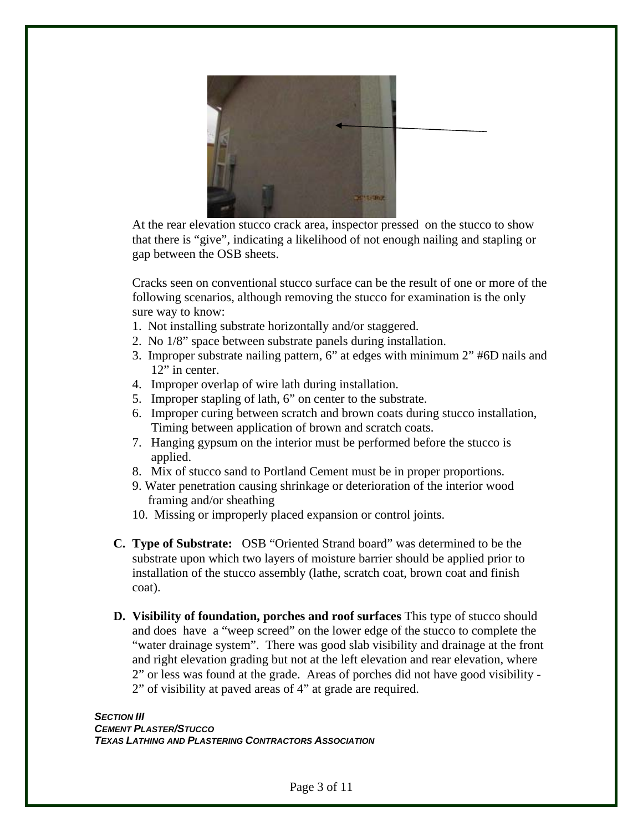

At the rear elevation stucco crack area, inspector pressed on the stucco to show that there is "give", indicating a likelihood of not enough nailing and stapling or gap between the OSB sheets.

Cracks seen on conventional stucco surface can be the result of one or more of the following scenarios, although removing the stucco for examination is the only sure way to know:

- 1. Not installing substrate horizontally and/or staggered.
- 2. No 1/8" space between substrate panels during installation.
- 3. Improper substrate nailing pattern, 6" at edges with minimum 2" #6D nails and 12" in center.
- 4. Improper overlap of wire lath during installation.
- 5. Improper stapling of lath, 6" on center to the substrate.
- 6. Improper curing between scratch and brown coats during stucco installation, Timing between application of brown and scratch coats.
- 7. Hanging gypsum on the interior must be performed before the stucco is applied.
- 8. Mix of stucco sand to Portland Cement must be in proper proportions.
- 9. Water penetration causing shrinkage or deterioration of the interior wood framing and/or sheathing
- 10. Missing or improperly placed expansion or control joints.
- **C. Type of Substrate:** OSB "Oriented Strand board" was determined to be the substrate upon which two layers of moisture barrier should be applied prior to installation of the stucco assembly (lathe, scratch coat, brown coat and finish coat).
- **D. Visibility of foundation, porches and roof surfaces** This type of stucco should and does have a "weep screed" on the lower edge of the stucco to complete the "water drainage system". There was good slab visibility and drainage at the front and right elevation grading but not at the left elevation and rear elevation, where 2" or less was found at the grade. Areas of porches did not have good visibility - 2" of visibility at paved areas of 4" at grade are required.

**SECTION III** *CEMENT PLASTER/STUCCO TEXAS LATHING AND PLASTERING CONTRACTORS ASSOCIATION*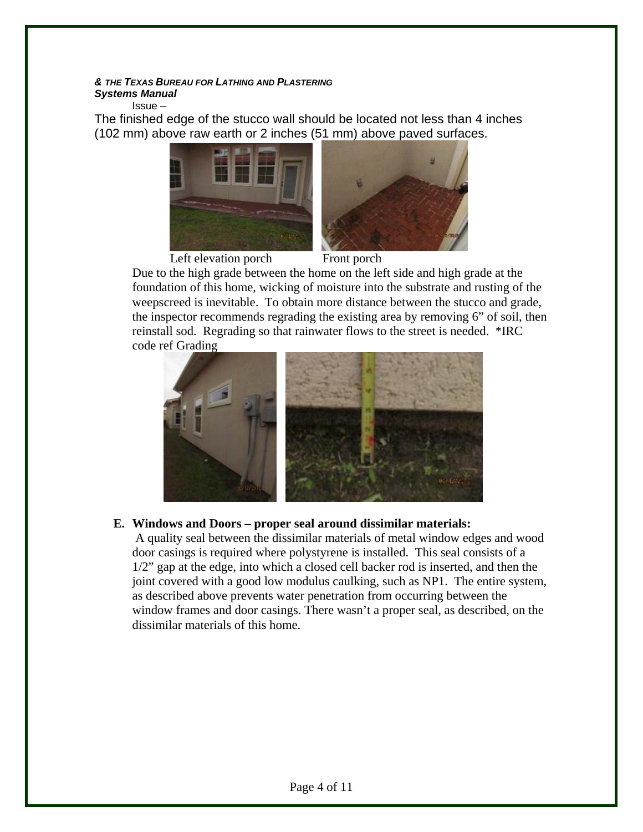#### *& THE TEXAS BUREAU FOR LATHING AND PLASTERING Systems Manual*

Issue –

The finished edge of the stucco wall should be located not less than 4 inches (102 mm) above raw earth or 2 inches (51 mm) above paved surfaces.



Left elevation porch Front porch Due to the high grade between the home on the left side and high grade at the foundation of this home, wicking of moisture into the substrate and rusting of the weepscreed is inevitable. To obtain more distance between the stucco and grade, the inspector recommends regrading the existing area by removing 6" of soil, then reinstall sod. Regrading so that rainwater flows to the street is needed. \*IRC

code ref Grading



#### **E. Windows and Doors – proper seal around dissimilar materials:**

 A quality seal between the dissimilar materials of metal window edges and wood door casings is required where polystyrene is installed. This seal consists of a 1/2" gap at the edge, into which a closed cell backer rod is inserted, and then the joint covered with a good low modulus caulking, such as NP1. The entire system, as described above prevents water penetration from occurring between the window frames and door casings. There wasn't a proper seal, as described, on the dissimilar materials of this home.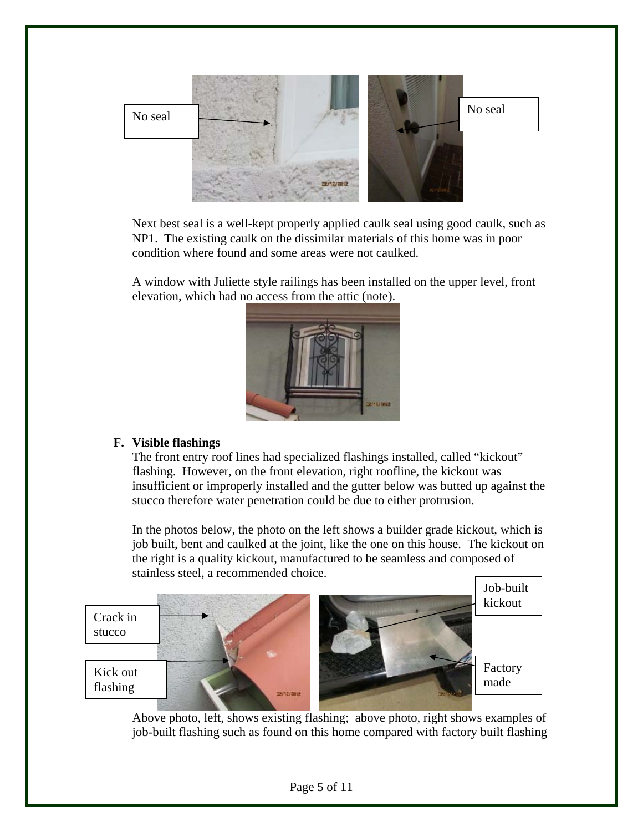

Next best seal is a well-kept properly applied caulk seal using good caulk, such as NP1. The existing caulk on the dissimilar materials of this home was in poor condition where found and some areas were not caulked.

A window with Juliette style railings has been installed on the upper level, front elevation, which had no access from the attic (note).



#### **F. Visible flashings**

The front entry roof lines had specialized flashings installed, called "kickout" flashing. However, on the front elevation, right roofline, the kickout was insufficient or improperly installed and the gutter below was butted up against the stucco therefore water penetration could be due to either protrusion.

In the photos below, the photo on the left shows a builder grade kickout, which is job built, bent and caulked at the joint, like the one on this house. The kickout on the right is a quality kickout, manufactured to be seamless and composed of stainless steel, a recommended choice.



 Above photo, left, shows existing flashing; above photo, right shows examples of job-built flashing such as found on this home compared with factory built flashing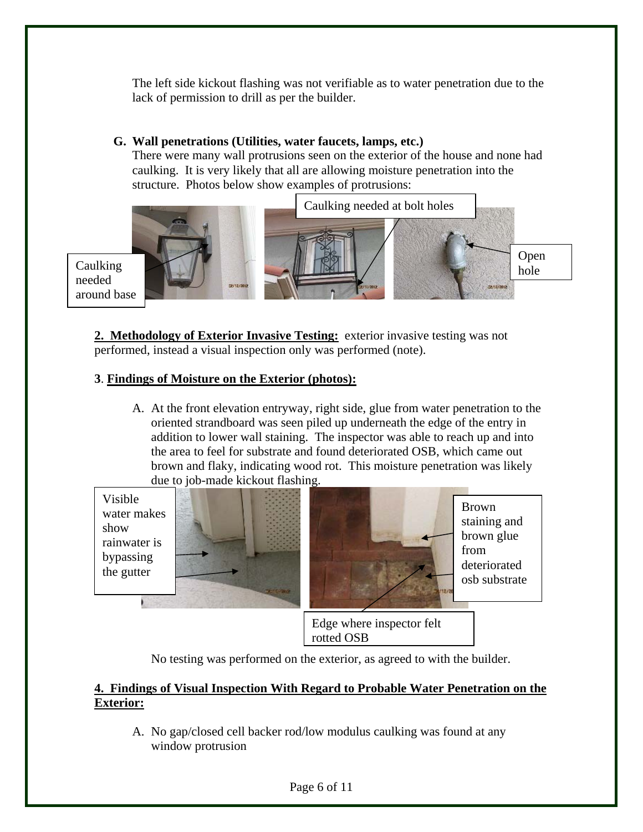The left side kickout flashing was not verifiable as to water penetration due to the lack of permission to drill as per the builder.

#### **G. Wall penetrations (Utilities, water faucets, lamps, etc.)**

There were many wall protrusions seen on the exterior of the house and none had caulking. It is very likely that all are allowing moisture penetration into the structure. Photos below show examples of protrusions:



**2. Methodology of Exterior Invasive Testing:** exterior invasive testing was not performed, instead a visual inspection only was performed (note).

#### **3**. **Findings of Moisture on the Exterior (photos):**

A. At the front elevation entryway, right side, glue from water penetration to the oriented strandboard was seen piled up underneath the edge of the entry in addition to lower wall staining. The inspector was able to reach up and into the area to feel for substrate and found deteriorated OSB, which came out brown and flaky, indicating wood rot. This moisture penetration was likely due to job-made kickout flashing.

Visible water makes show rainwater is bypassing the gutter





Brown staining and brown glue from deteriorated osb substrate

Edge where inspector felt rotted OSB

No testing was performed on the exterior, as agreed to with the builder.

#### **4. Findings of Visual Inspection With Regard to Probable Water Penetration on the Exterior:**

A. No gap/closed cell backer rod/low modulus caulking was found at any window protrusion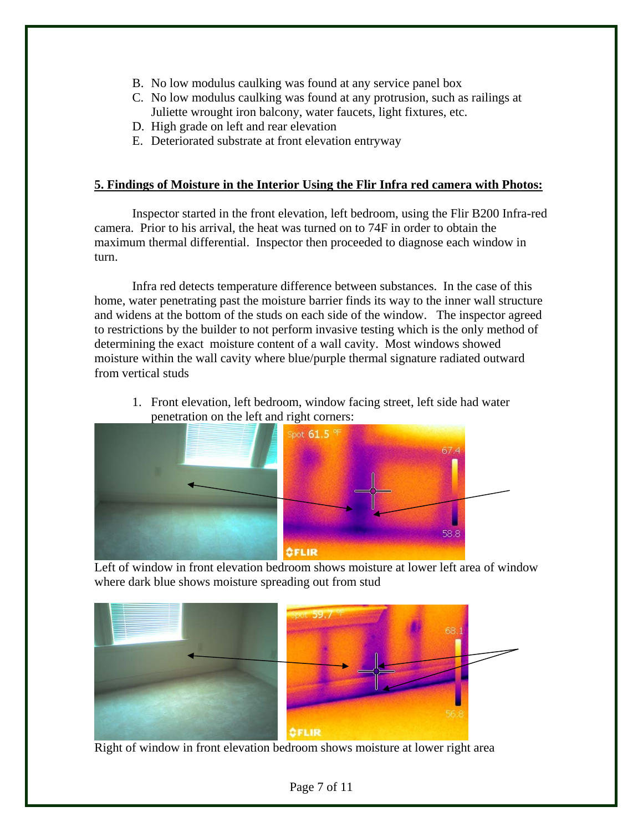- B. No low modulus caulking was found at any service panel box
- C. No low modulus caulking was found at any protrusion, such as railings at Juliette wrought iron balcony, water faucets, light fixtures, etc.
- D. High grade on left and rear elevation
- E. Deteriorated substrate at front elevation entryway

#### **5. Findings of Moisture in the Interior Using the Flir Infra red camera with Photos:**

 Inspector started in the front elevation, left bedroom, using the Flir B200 Infra-red camera. Prior to his arrival, the heat was turned on to 74F in order to obtain the maximum thermal differential. Inspector then proceeded to diagnose each window in turn.

 Infra red detects temperature difference between substances. In the case of this home, water penetrating past the moisture barrier finds its way to the inner wall structure and widens at the bottom of the studs on each side of the window. The inspector agreed to restrictions by the builder to not perform invasive testing which is the only method of determining the exact moisture content of a wall cavity. Most windows showed moisture within the wall cavity where blue/purple thermal signature radiated outward from vertical studs

1. Front elevation, left bedroom, window facing street, left side had water penetration on the left and right corners:



where dark blue shows moisture spreading out from stud

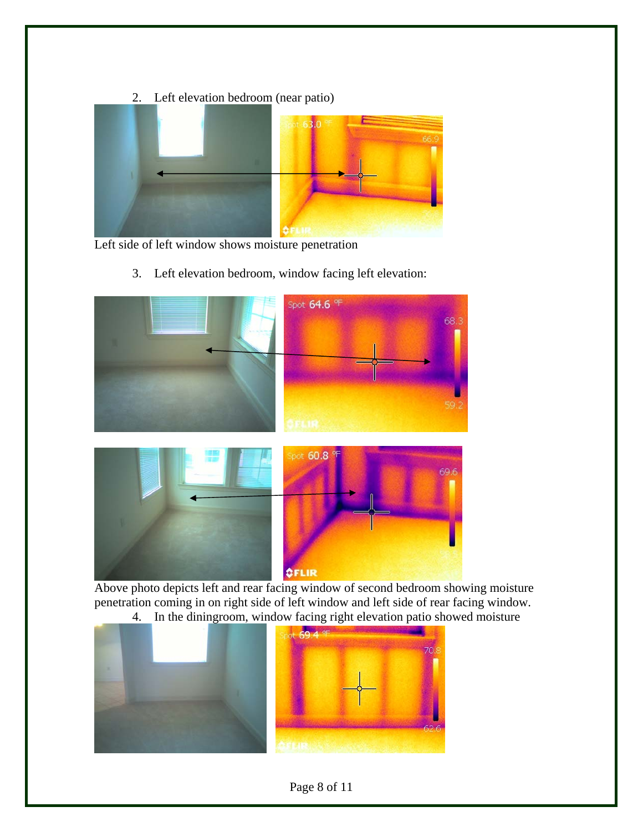

Left side of left window shows moisture penetration

3. Left elevation bedroom, window facing left elevation:





 Above photo depicts left and rear facing window of second bedroom showing moisture penetration coming in on right side of left window and left side of rear facing window. 4. In the diningroom, window facing right elevation patio showed moisture



### Page 8 of 11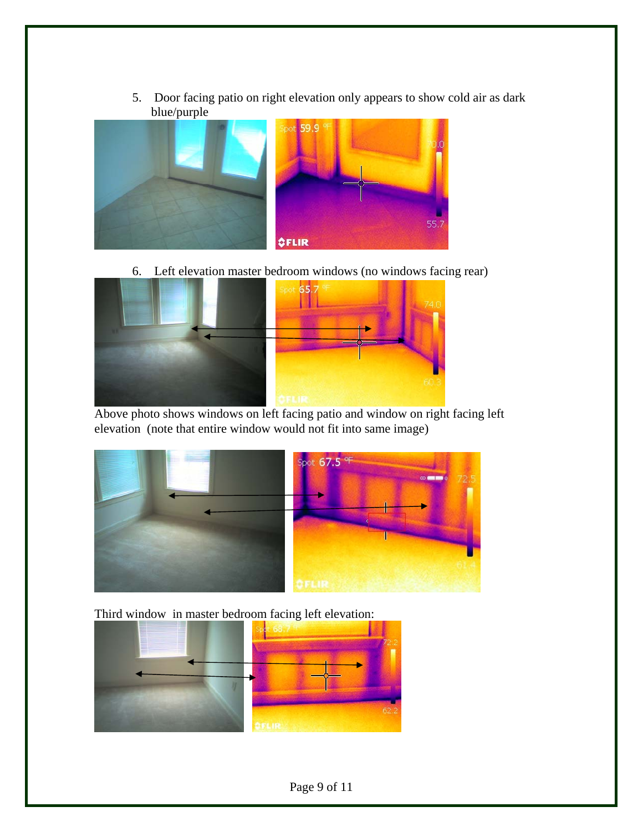5. Door facing patio on right elevation only appears to show cold air as dark blue/purple



6. Left elevation master bedroom windows (no windows facing rear)



 Above photo shows windows on left facing patio and window on right facing left elevation (note that entire window would not fit into same image)



Third window in master bedroom facing left elevation:

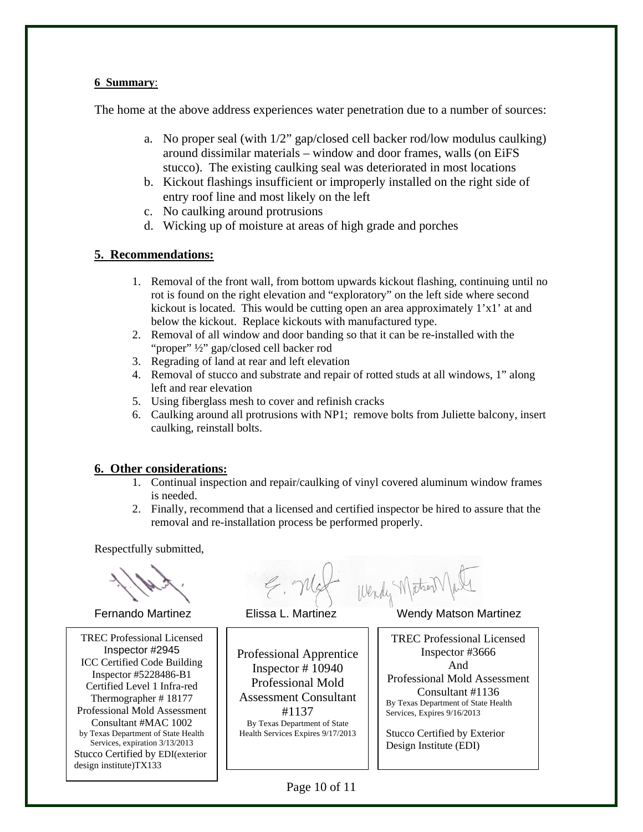#### **6 Summary**:

The home at the above address experiences water penetration due to a number of sources:

- a. No proper seal (with 1/2" gap/closed cell backer rod/low modulus caulking) around dissimilar materials – window and door frames, walls (on EiFS stucco). The existing caulking seal was deteriorated in most locations
- b. Kickout flashings insufficient or improperly installed on the right side of entry roof line and most likely on the left
- c. No caulking around protrusions
- d. Wicking up of moisture at areas of high grade and porches

#### **5. Recommendations:**

- 1. Removal of the front wall, from bottom upwards kickout flashing, continuing until no rot is found on the right elevation and "exploratory" on the left side where second kickout is located. This would be cutting open an area approximately  $1'x1'$  at and below the kickout. Replace kickouts with manufactured type.
- 2. Removal of all window and door banding so that it can be re-installed with the "proper" ½" gap/closed cell backer rod
- 3. Regrading of land at rear and left elevation
- 4. Removal of stucco and substrate and repair of rotted studs at all windows, 1" along left and rear elevation
- 5. Using fiberglass mesh to cover and refinish cracks
- 6. Caulking around all protrusions with NP1; remove bolts from Juliette balcony, insert caulking, reinstall bolts.

#### **6. Other considerations:**

- 1. Continual inspection and repair/caulking of vinyl covered aluminum window frames is needed.
- 2. Finally, recommend that a licensed and certified inspector be hired to assure that the removal and re-installation process be performed properly.

Respectfully submitted,

 ICC Certified Code Building Inspector #5228486-B1 Certified Level 1 Infra-red TREC Professional Licensed Inspector #2945 Thermographer # 18177 Professional Mold Assessment Consultant #MAC 1002 by Texas Department of State Health Services, expiration 3/13/2013 Stucco Certified by EDI(exterior design institute)TX133

F. Mat Wendy MaterNall<br>Fernando Martinez Elissa L. Martinez Wendy Matson Martinez

Professional Apprentice Inspector # 10940 Professional Mold Assessment Consultant #1137 By Texas Department of State Health Services Expires 9/17/2013

TREC Professional Licensed Inspector #3666 And Professional Mold Assessment Consultant #1136 By Texas Department of State Health Services, Expires 9/16/2013

Stucco Certified by Exterior Design Institute (EDI)

Page 10 of 11